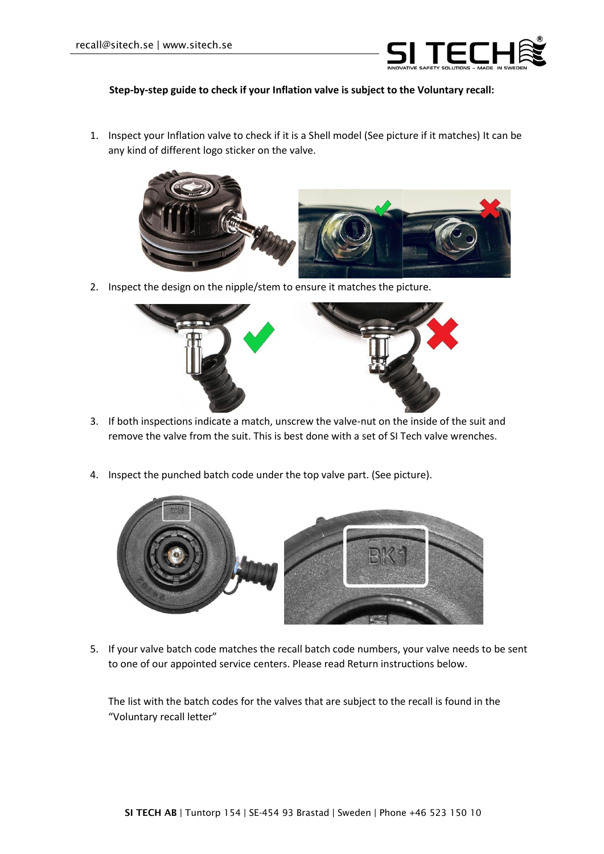

## **Step-by-step guide to check if your Inflation valve is subject to the Voluntary recall:**

1. Inspect your Inflation valve to check if it is a Shell model (See picture if it matches) It can be any kind of different logo sticker on the valve.



2. Inspect the design on the nipple/stem to ensure it matches the picture.



- 3. If both inspections indicate a match, unscrew the valve-nut on the inside of the suit and remove the valve from the suit. This is best done with a set of SI Tech valve wrenches.
- 4. Inspect the punched batch code under the top valve part. (See picture).



5. If your valve batch code matches the recall batch code numbers, your valve needs to be sent to one of our appointed service centers. Please read Return instructions below.

The list with the batch codes for the valves that are subject to the recall is found in the "Voluntary recall letter"